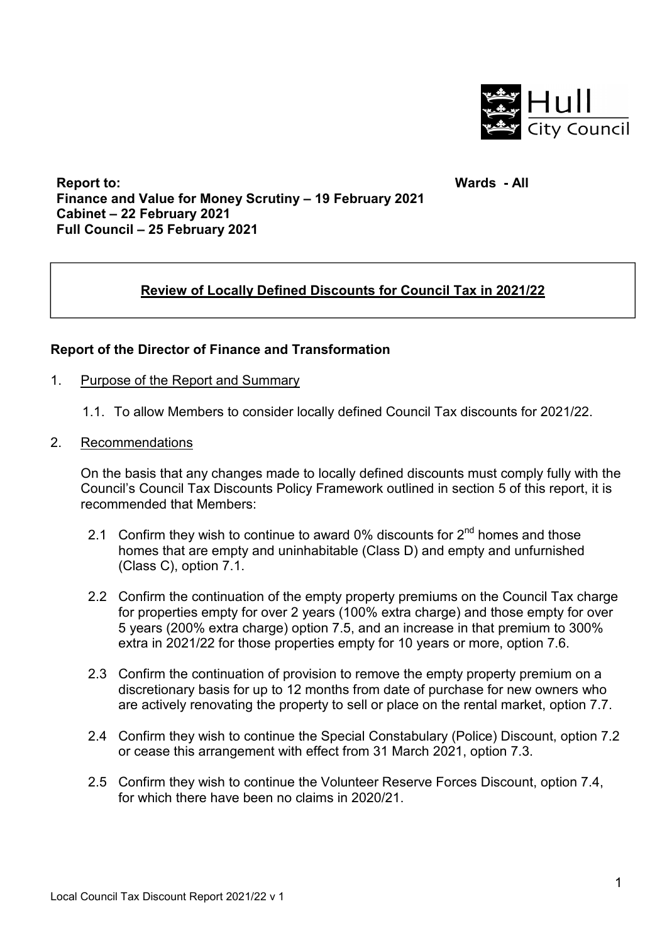

**Report to: Finance and Value for Money Scrutiny – 19 February 2021 Cabinet – 22 February 2021 Full Council – 25 February 2021** 

**Wards - All**

# **Review of Locally Defined Discounts for Council Tax in 2021/22**

## **Report of the Director of Finance and Transformation**

- 1. Purpose of the Report and Summary
	- 1.1. To allow Members to consider locally defined Council Tax discounts for 2021/22.
- 2. Recommendations

On the basis that any changes made to locally defined discounts must comply fully with the Council's Council Tax Discounts Policy Framework outlined in section 5 of this report, it is recommended that Members:

- 2.1 Confirm they wish to continue to award 0% discounts for  $2^{nd}$  homes and those homes that are empty and uninhabitable (Class D) and empty and unfurnished (Class C), option 7.1.
- 2.2 Confirm the continuation of the empty property premiums on the Council Tax charge for properties empty for over 2 years (100% extra charge) and those empty for over 5 years (200% extra charge) option 7.5, and an increase in that premium to 300% extra in 2021/22 for those properties empty for 10 years or more, option 7.6.
- 2.3 Confirm the continuation of provision to remove the empty property premium on a discretionary basis for up to 12 months from date of purchase for new owners who are actively renovating the property to sell or place on the rental market, option 7.7.
- 2.4 Confirm they wish to continue the Special Constabulary (Police) Discount, option 7.2 or cease this arrangement with effect from 31 March 2021, option 7.3.
- 2.5 Confirm they wish to continue the Volunteer Reserve Forces Discount, option 7.4, for which there have been no claims in 2020/21.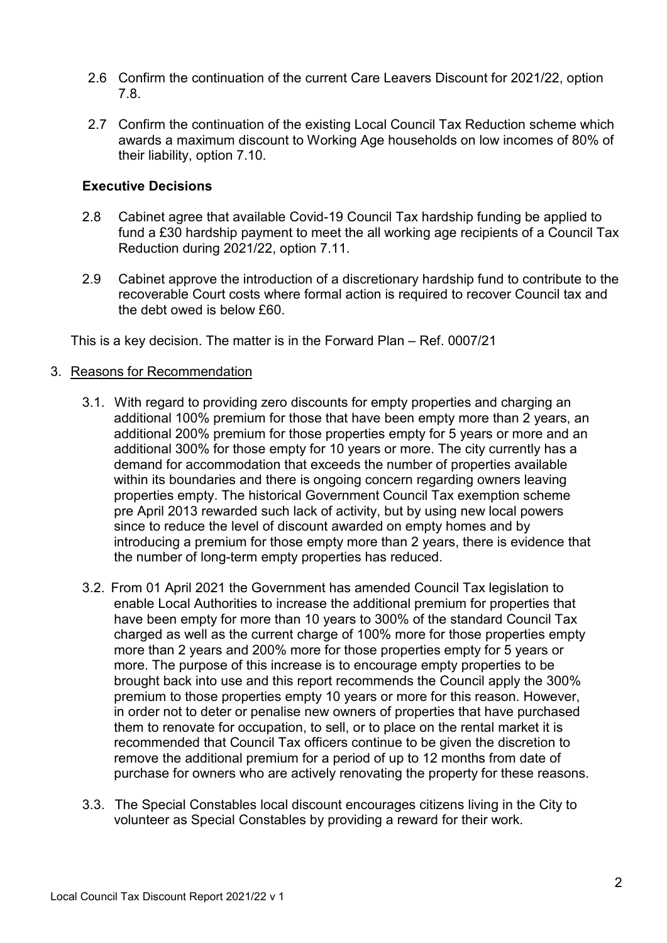- 2.6 Confirm the continuation of the current Care Leavers Discount for 2021/22, option 7.8.
- 2.7 Confirm the continuation of the existing Local Council Tax Reduction scheme which awards a maximum discount to Working Age households on low incomes of 80% of their liability, option 7.10.

## **Executive Decisions**

- 2.8 Cabinet agree that available Covid-19 Council Tax hardship funding be applied to fund a £30 hardship payment to meet the all working age recipients of a Council Tax Reduction during 2021/22, option 7.11.
- 2.9 Cabinet approve the introduction of a discretionary hardship fund to contribute to the recoverable Court costs where formal action is required to recover Council tax and the debt owed is below £60.

This is a key decision. The matter is in the Forward Plan – Ref. 0007/21

- 3. Reasons for Recommendation
	- 3.1. With regard to providing zero discounts for empty properties and charging an additional 100% premium for those that have been empty more than 2 years, an additional 200% premium for those properties empty for 5 years or more and an additional 300% for those empty for 10 years or more. The city currently has a demand for accommodation that exceeds the number of properties available within its boundaries and there is ongoing concern regarding owners leaving properties empty. The historical Government Council Tax exemption scheme pre April 2013 rewarded such lack of activity, but by using new local powers since to reduce the level of discount awarded on empty homes and by introducing a premium for those empty more than 2 years, there is evidence that the number of long-term empty properties has reduced.
	- 3.2. From 01 April 2021 the Government has amended Council Tax legislation to enable Local Authorities to increase the additional premium for properties that have been empty for more than 10 years to 300% of the standard Council Tax charged as well as the current charge of 100% more for those properties empty more than 2 years and 200% more for those properties empty for 5 years or more. The purpose of this increase is to encourage empty properties to be brought back into use and this report recommends the Council apply the 300% premium to those properties empty 10 years or more for this reason. However, in order not to deter or penalise new owners of properties that have purchased them to renovate for occupation, to sell, or to place on the rental market it is recommended that Council Tax officers continue to be given the discretion to remove the additional premium for a period of up to 12 months from date of purchase for owners who are actively renovating the property for these reasons.
	- 3.3. The Special Constables local discount encourages citizens living in the City to volunteer as Special Constables by providing a reward for their work.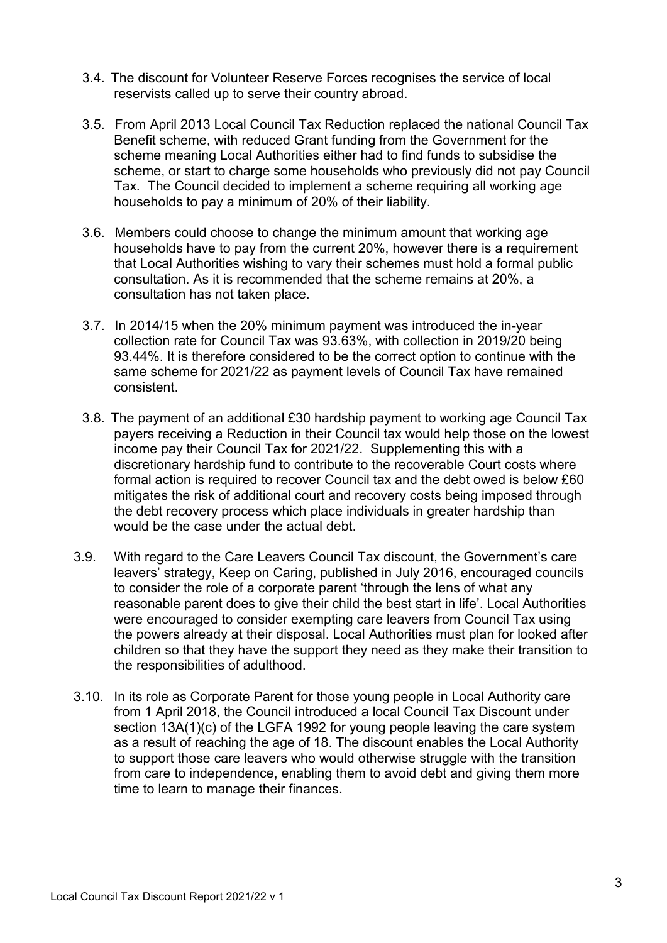- 3.4. The discount for Volunteer Reserve Forces recognises the service of local reservists called up to serve their country abroad.
- 3.5. From April 2013 Local Council Tax Reduction replaced the national Council Tax Benefit scheme, with reduced Grant funding from the Government for the scheme meaning Local Authorities either had to find funds to subsidise the scheme, or start to charge some households who previously did not pay Council Tax. The Council decided to implement a scheme requiring all working age households to pay a minimum of 20% of their liability.
- 3.6. Members could choose to change the minimum amount that working age households have to pay from the current 20%, however there is a requirement that Local Authorities wishing to vary their schemes must hold a formal public consultation. As it is recommended that the scheme remains at 20%, a consultation has not taken place.
- 3.7. In 2014/15 when the 20% minimum payment was introduced the in-year collection rate for Council Tax was 93.63%, with collection in 2019/20 being 93.44%. It is therefore considered to be the correct option to continue with the same scheme for 2021/22 as payment levels of Council Tax have remained consistent.
- 3.8. The payment of an additional £30 hardship payment to working age Council Tax payers receiving a Reduction in their Council tax would help those on the lowest income pay their Council Tax for 2021/22. Supplementing this with a discretionary hardship fund to contribute to the recoverable Court costs where formal action is required to recover Council tax and the debt owed is below £60 mitigates the risk of additional court and recovery costs being imposed through the debt recovery process which place individuals in greater hardship than would be the case under the actual debt.
- 3.9. With regard to the Care Leavers Council Tax discount, the Government's care leavers' strategy, Keep on Caring, published in July 2016, encouraged councils to consider the role of a corporate parent 'through the lens of what any reasonable parent does to give their child the best start in life'. Local Authorities were encouraged to consider exempting care leavers from Council Tax using the powers already at their disposal. Local Authorities must plan for looked after children so that they have the support they need as they make their transition to the responsibilities of adulthood.
- 3.10. In its role as Corporate Parent for those young people in Local Authority care from 1 April 2018, the Council introduced a local Council Tax Discount under section 13A(1)(c) of the LGFA 1992 for young people leaving the care system as a result of reaching the age of 18. The discount enables the Local Authority to support those care leavers who would otherwise struggle with the transition from care to independence, enabling them to avoid debt and giving them more time to learn to manage their finances.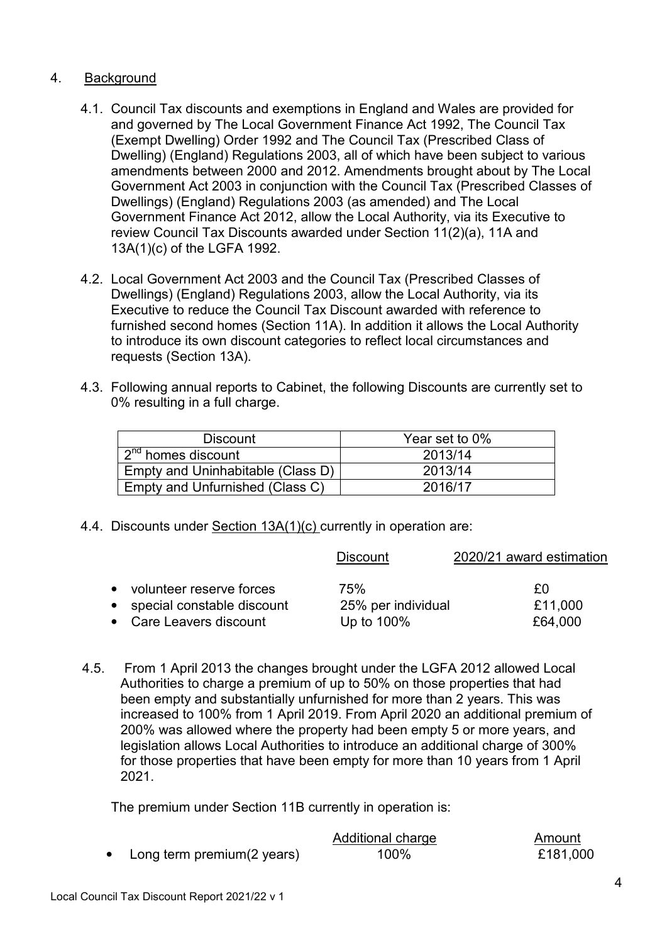# 4. Background

- 4.1. Council Tax discounts and exemptions in England and Wales are provided for and governed by The Local Government Finance Act 1992, The Council Tax (Exempt Dwelling) Order 1992 and The Council Tax (Prescribed Class of Dwelling) (England) Regulations 2003, all of which have been subject to various amendments between 2000 and 2012. Amendments brought about by The Local Government Act 2003 in conjunction with the Council Tax (Prescribed Classes of Dwellings) (England) Regulations 2003 (as amended) and The Local Government Finance Act 2012, allow the Local Authority, via its Executive to review Council Tax Discounts awarded under Section 11(2)(a), 11A and 13A(1)(c) of the LGFA 1992.
- 4.2. Local Government Act 2003 and the Council Tax (Prescribed Classes of Dwellings) (England) Regulations 2003, allow the Local Authority, via its Executive to reduce the Council Tax Discount awarded with reference to furnished second homes (Section 11A). In addition it allows the Local Authority to introduce its own discount categories to reflect local circumstances and requests (Section 13A).
- 4.3. Following annual reports to Cabinet, the following Discounts are currently set to 0% resulting in a full charge.

| <b>Discount</b>                   | Year set to 0% |
|-----------------------------------|----------------|
| 2 <sup>nd</sup> homes discount    | 2013/14        |
| Empty and Uninhabitable (Class D) | 2013/14        |
| Empty and Unfurnished (Class C)   | 2016/17        |

4.4. Discounts under Section 13A(1)(c) currently in operation are:

|                              | <b>Discount</b>    | 2020/21 award estimation |
|------------------------------|--------------------|--------------------------|
|                              |                    |                          |
| • volunteer reserve forces   | 75%                | £Ο                       |
| • special constable discount | 25% per individual | £11,000                  |
| • Care Leavers discount      | Up to 100%         | £64,000                  |

4.5. From 1 April 2013 the changes brought under the LGFA 2012 allowed Local Authorities to charge a premium of up to 50% on those properties that had been empty and substantially unfurnished for more than 2 years. This was increased to 100% from 1 April 2019. From April 2020 an additional premium of 200% was allowed where the property had been empty 5 or more years, and legislation allows Local Authorities to introduce an additional charge of 300% for those properties that have been empty for more than 10 years from 1 April 2021.

The premium under Section 11B currently in operation is:

|                             | Additional charge | Amount   |
|-----------------------------|-------------------|----------|
| Long term premium (2 years) | 100%              | £181,000 |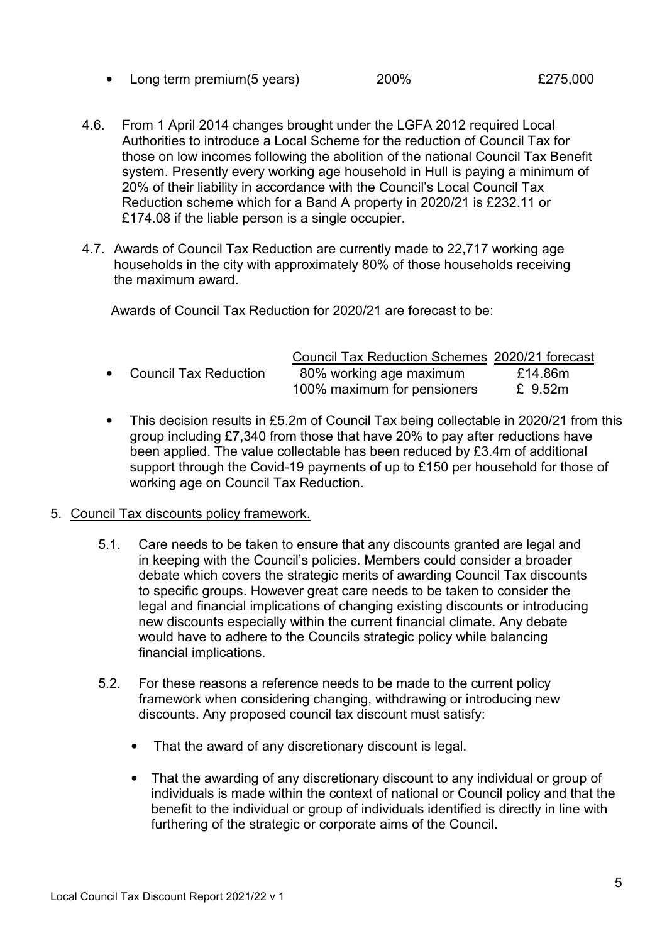• Long term premium(5 years) 200% £275,000

- 4.6. From 1 April 2014 changes brought under the LGFA 2012 required Local Authorities to introduce a Local Scheme for the reduction of Council Tax for those on low incomes following the abolition of the national Council Tax Benefit system. Presently every working age household in Hull is paying a minimum of 20% of their liability in accordance with the Council's Local Council Tax Reduction scheme which for a Band A property in 2020/21 is £232.11 or £174.08 if the liable person is a single occupier.
- 4.7. Awards of Council Tax Reduction are currently made to 22,717 working age households in the city with approximately 80% of those households receiving the maximum award.

Awards of Council Tax Reduction for 2020/21 are forecast to be:

|                         | Council Tax Reduction Schemes 2020/21 forecast         |                    |
|-------------------------|--------------------------------------------------------|--------------------|
| • Council Tax Reduction | 80% working age maximum<br>100% maximum for pensioners | £14.86m<br>£ 9.52m |

• This decision results in £5.2m of Council Tax being collectable in 2020/21 from this group including £7,340 from those that have 20% to pay after reductions have been applied. The value collectable has been reduced by £3.4m of additional support through the Covid-19 payments of up to £150 per household for those of working age on Council Tax Reduction.

#### 5. Council Tax discounts policy framework.

- 5.1. Care needs to be taken to ensure that any discounts granted are legal and in keeping with the Council's policies. Members could consider a broader debate which covers the strategic merits of awarding Council Tax discounts to specific groups. However great care needs to be taken to consider the legal and financial implications of changing existing discounts or introducing new discounts especially within the current financial climate. Any debate would have to adhere to the Councils strategic policy while balancing financial implications.
- 5.2. For these reasons a reference needs to be made to the current policy framework when considering changing, withdrawing or introducing new discounts. Any proposed council tax discount must satisfy:
	- That the award of any discretionary discount is legal.
	- That the awarding of any discretionary discount to any individual or group of individuals is made within the context of national or Council policy and that the benefit to the individual or group of individuals identified is directly in line with furthering of the strategic or corporate aims of the Council.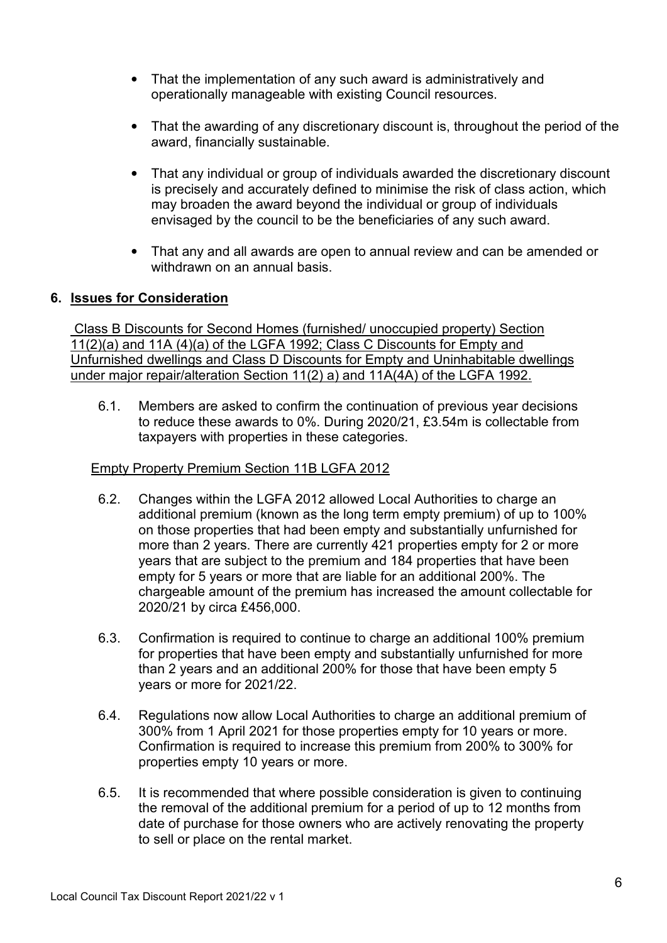- That the implementation of any such award is administratively and operationally manageable with existing Council resources.
- That the awarding of any discretionary discount is, throughout the period of the award, financially sustainable.
- That any individual or group of individuals awarded the discretionary discount is precisely and accurately defined to minimise the risk of class action, which may broaden the award beyond the individual or group of individuals envisaged by the council to be the beneficiaries of any such award.
- That any and all awards are open to annual review and can be amended or withdrawn on an annual basis.

## **6. Issues for Consideration**

Class B Discounts for Second Homes (furnished/ unoccupied property) Section 11(2)(a) and 11A (4)(a) of the LGFA 1992; Class C Discounts for Empty and Unfurnished dwellings and Class D Discounts for Empty and Uninhabitable dwellings under major repair/alteration Section 11(2) a) and 11A(4A) of the LGFA 1992.

6.1. Members are asked to confirm the continuation of previous year decisions to reduce these awards to 0%. During 2020/21, £3.54m is collectable from taxpayers with properties in these categories.

### Empty Property Premium Section 11B LGFA 2012

- 6.2. Changes within the LGFA 2012 allowed Local Authorities to charge an additional premium (known as the long term empty premium) of up to 100% on those properties that had been empty and substantially unfurnished for more than 2 years. There are currently 421 properties empty for 2 or more years that are subject to the premium and 184 properties that have been empty for 5 years or more that are liable for an additional 200%. The chargeable amount of the premium has increased the amount collectable for 2020/21 by circa £456,000.
- 6.3. Confirmation is required to continue to charge an additional 100% premium for properties that have been empty and substantially unfurnished for more than 2 years and an additional 200% for those that have been empty 5 years or more for 2021/22.
- 6.4. Regulations now allow Local Authorities to charge an additional premium of 300% from 1 April 2021 for those properties empty for 10 years or more. Confirmation is required to increase this premium from 200% to 300% for properties empty 10 years or more.
- 6.5. It is recommended that where possible consideration is given to continuing the removal of the additional premium for a period of up to 12 months from date of purchase for those owners who are actively renovating the property to sell or place on the rental market.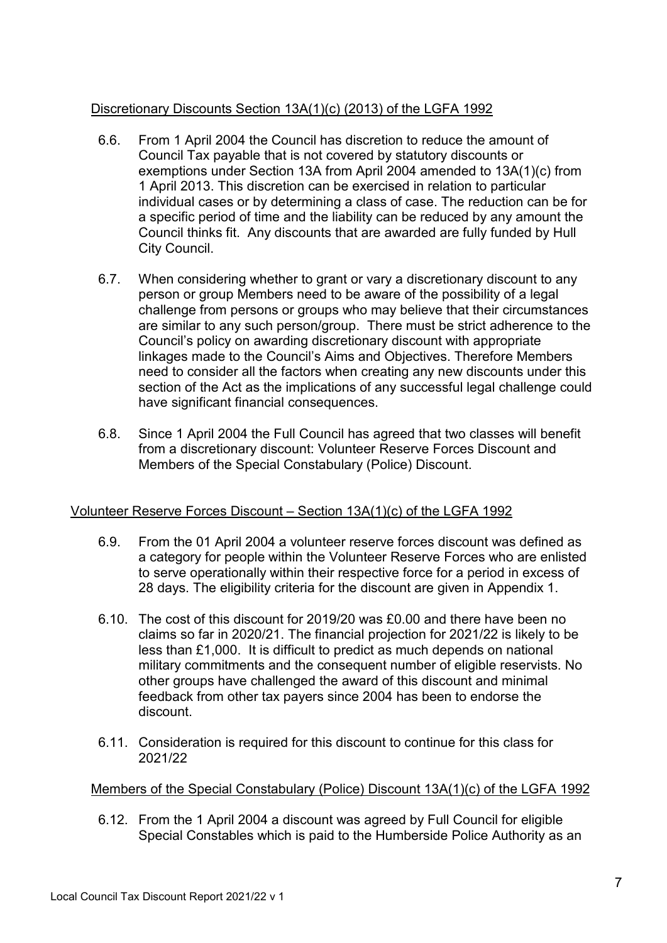# Discretionary Discounts Section 13A(1)(c) (2013) of the LGFA 1992

- 6.6. From 1 April 2004 the Council has discretion to reduce the amount of Council Tax payable that is not covered by statutory discounts or exemptions under Section 13A from April 2004 amended to 13A(1)(c) from 1 April 2013. This discretion can be exercised in relation to particular individual cases or by determining a class of case. The reduction can be for a specific period of time and the liability can be reduced by any amount the Council thinks fit. Any discounts that are awarded are fully funded by Hull City Council.
- 6.7. When considering whether to grant or vary a discretionary discount to any person or group Members need to be aware of the possibility of a legal challenge from persons or groups who may believe that their circumstances are similar to any such person/group. There must be strict adherence to the Council's policy on awarding discretionary discount with appropriate linkages made to the Council's Aims and Objectives. Therefore Members need to consider all the factors when creating any new discounts under this section of the Act as the implications of any successful legal challenge could have significant financial consequences.
- 6.8. Since 1 April 2004 the Full Council has agreed that two classes will benefit from a discretionary discount: Volunteer Reserve Forces Discount and Members of the Special Constabulary (Police) Discount.

# Volunteer Reserve Forces Discount – Section 13A(1)(c) of the LGFA 1992

- 6.9. From the 01 April 2004 a volunteer reserve forces discount was defined as a category for people within the Volunteer Reserve Forces who are enlisted to serve operationally within their respective force for a period in excess of 28 days. The eligibility criteria for the discount are given in Appendix 1.
- 6.10. The cost of this discount for 2019/20 was £0.00 and there have been no claims so far in 2020/21. The financial projection for 2021/22 is likely to be less than £1,000. It is difficult to predict as much depends on national military commitments and the consequent number of eligible reservists. No other groups have challenged the award of this discount and minimal feedback from other tax payers since 2004 has been to endorse the discount.
- 6.11. Consideration is required for this discount to continue for this class for 2021/22

# Members of the Special Constabulary (Police) Discount 13A(1)(c) of the LGFA 1992

6.12. From the 1 April 2004 a discount was agreed by Full Council for eligible Special Constables which is paid to the Humberside Police Authority as an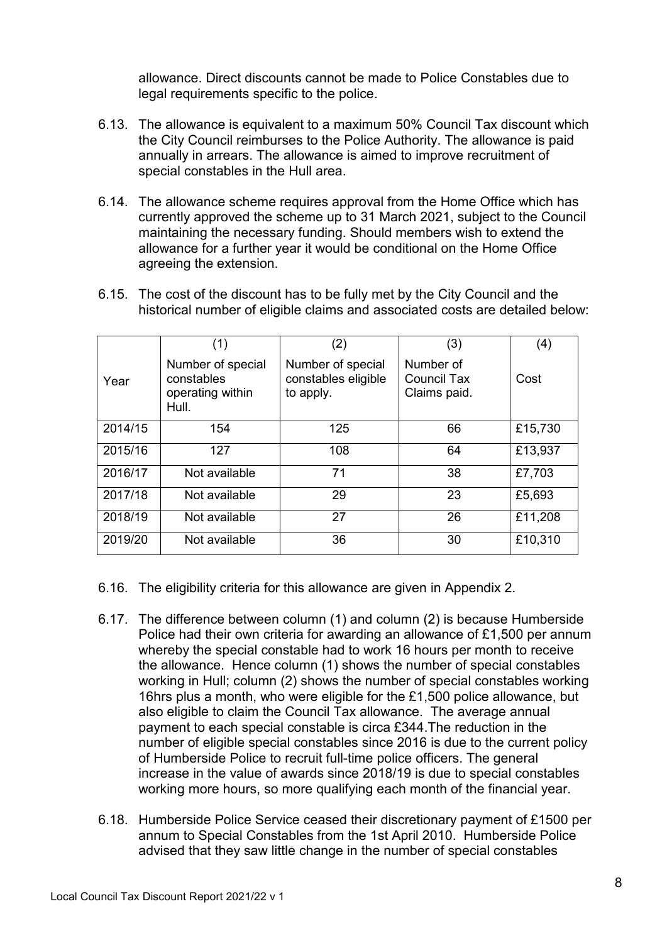allowance. Direct discounts cannot be made to Police Constables due to legal requirements specific to the police.

- 6.13. The allowance is equivalent to a maximum 50% Council Tax discount which the City Council reimburses to the Police Authority. The allowance is paid annually in arrears. The allowance is aimed to improve recruitment of special constables in the Hull area.
- 6.14. The allowance scheme requires approval from the Home Office which has currently approved the scheme up to 31 March 2021, subject to the Council maintaining the necessary funding. Should members wish to extend the allowance for a further year it would be conditional on the Home Office agreeing the extension.

|         | (1)                                                          | (2)                                                   | (3)                                      | (4)     |
|---------|--------------------------------------------------------------|-------------------------------------------------------|------------------------------------------|---------|
| Year    | Number of special<br>constables<br>operating within<br>Hull. | Number of special<br>constables eligible<br>to apply. | Number of<br>Council Tax<br>Claims paid. | Cost    |
| 2014/15 | 154                                                          | 125                                                   | 66                                       | £15,730 |
| 2015/16 | 127                                                          | 108                                                   | 64                                       | £13,937 |
| 2016/17 | Not available                                                | 71                                                    | 38                                       | £7,703  |
| 2017/18 | Not available                                                | 29                                                    | 23                                       | £5,693  |
| 2018/19 | Not available                                                | 27                                                    | 26                                       | £11,208 |
| 2019/20 | Not available                                                | 36                                                    | 30                                       | £10,310 |

6.15. The cost of the discount has to be fully met by the City Council and the historical number of eligible claims and associated costs are detailed below:

- 6.16. The eligibility criteria for this allowance are given in Appendix 2.
- 6.17. The difference between column (1) and column (2) is because Humberside Police had their own criteria for awarding an allowance of £1,500 per annum whereby the special constable had to work 16 hours per month to receive the allowance. Hence column (1) shows the number of special constables working in Hull; column (2) shows the number of special constables working 16hrs plus a month, who were eligible for the £1,500 police allowance, but also eligible to claim the Council Tax allowance. The average annual payment to each special constable is circa £344.The reduction in the number of eligible special constables since 2016 is due to the current policy of Humberside Police to recruit full-time police officers. The general increase in the value of awards since 2018/19 is due to special constables working more hours, so more qualifying each month of the financial year.
- 6.18. Humberside Police Service ceased their discretionary payment of £1500 per annum to Special Constables from the 1st April 2010. Humberside Police advised that they saw little change in the number of special constables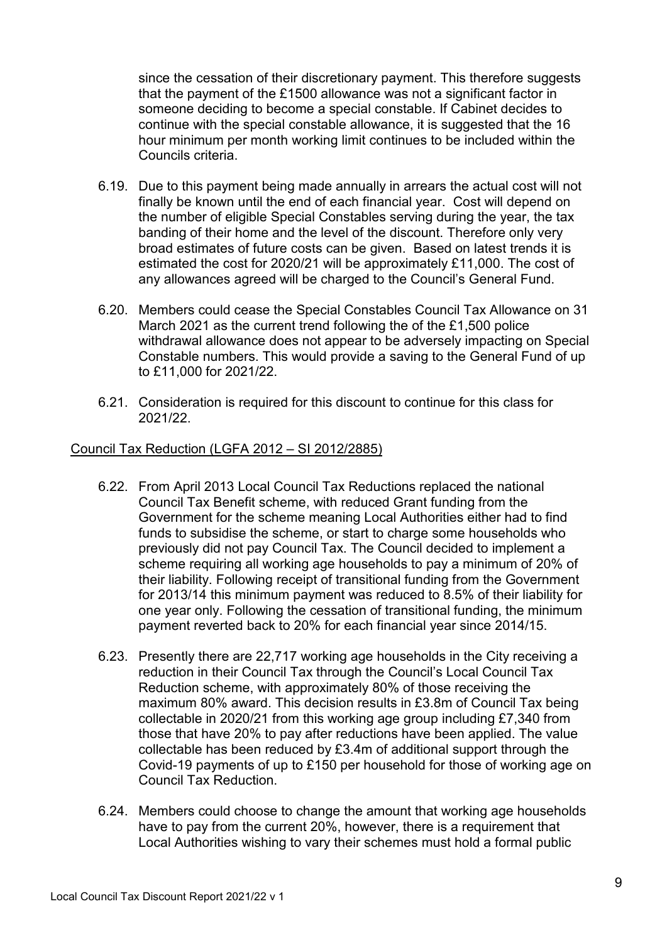since the cessation of their discretionary payment. This therefore suggests that the payment of the £1500 allowance was not a significant factor in someone deciding to become a special constable. If Cabinet decides to continue with the special constable allowance, it is suggested that the 16 hour minimum per month working limit continues to be included within the Councils criteria.

- 6.19. Due to this payment being made annually in arrears the actual cost will not finally be known until the end of each financial year. Cost will depend on the number of eligible Special Constables serving during the year, the tax banding of their home and the level of the discount. Therefore only very broad estimates of future costs can be given. Based on latest trends it is estimated the cost for 2020/21 will be approximately £11,000. The cost of any allowances agreed will be charged to the Council's General Fund.
- 6.20. Members could cease the Special Constables Council Tax Allowance on 31 March 2021 as the current trend following the of the £1,500 police withdrawal allowance does not appear to be adversely impacting on Special Constable numbers. This would provide a saving to the General Fund of up to £11,000 for 2021/22.
- 6.21. Consideration is required for this discount to continue for this class for 2021/22.

## Council Tax Reduction (LGFA 2012 – SI 2012/2885)

- 6.22. From April 2013 Local Council Tax Reductions replaced the national Council Tax Benefit scheme, with reduced Grant funding from the Government for the scheme meaning Local Authorities either had to find funds to subsidise the scheme, or start to charge some households who previously did not pay Council Tax. The Council decided to implement a scheme requiring all working age households to pay a minimum of 20% of their liability. Following receipt of transitional funding from the Government for 2013/14 this minimum payment was reduced to 8.5% of their liability for one year only. Following the cessation of transitional funding, the minimum payment reverted back to 20% for each financial year since 2014/15.
- 6.23. Presently there are 22,717 working age households in the City receiving a reduction in their Council Tax through the Council's Local Council Tax Reduction scheme, with approximately 80% of those receiving the maximum 80% award. This decision results in £3.8m of Council Tax being collectable in 2020/21 from this working age group including £7,340 from those that have 20% to pay after reductions have been applied. The value collectable has been reduced by £3.4m of additional support through the Covid-19 payments of up to £150 per household for those of working age on Council Tax Reduction.
- 6.24. Members could choose to change the amount that working age households have to pay from the current 20%, however, there is a requirement that Local Authorities wishing to vary their schemes must hold a formal public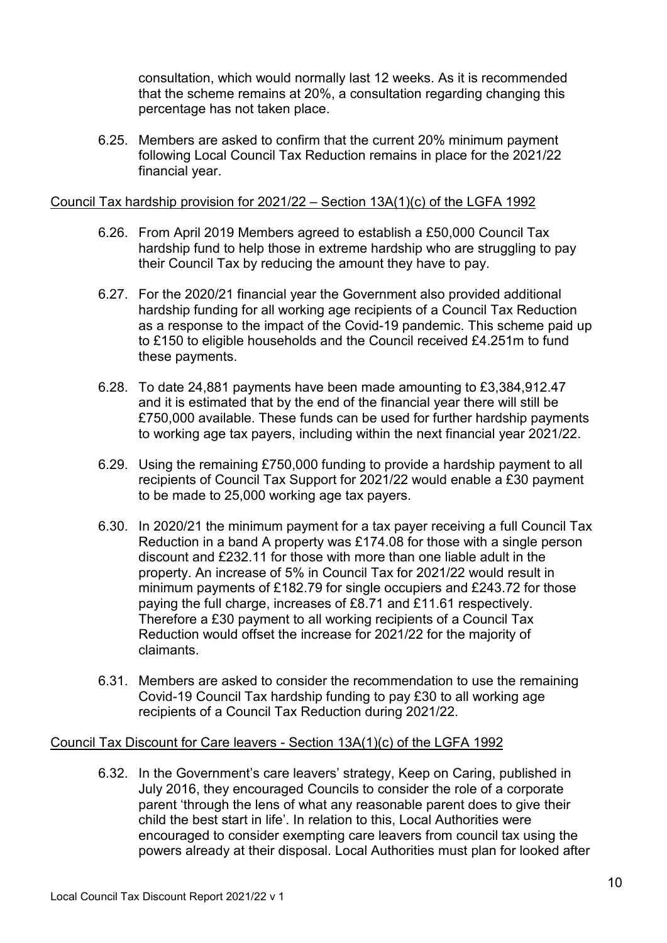consultation, which would normally last 12 weeks. As it is recommended that the scheme remains at 20%, a consultation regarding changing this percentage has not taken place.

6.25. Members are asked to confirm that the current 20% minimum payment following Local Council Tax Reduction remains in place for the 2021/22 financial year.

### Council Tax hardship provision for 2021/22 – Section 13A(1)(c) of the LGFA 1992

- 6.26. From April 2019 Members agreed to establish a £50,000 Council Tax hardship fund to help those in extreme hardship who are struggling to pay their Council Tax by reducing the amount they have to pay.
- 6.27. For the 2020/21 financial year the Government also provided additional hardship funding for all working age recipients of a Council Tax Reduction as a response to the impact of the Covid-19 pandemic. This scheme paid up to £150 to eligible households and the Council received £4.251m to fund these payments.
- 6.28. To date 24,881 payments have been made amounting to £3,384,912.47 and it is estimated that by the end of the financial year there will still be £750,000 available. These funds can be used for further hardship payments to working age tax payers, including within the next financial year 2021/22.
- 6.29. Using the remaining £750,000 funding to provide a hardship payment to all recipients of Council Tax Support for 2021/22 would enable a £30 payment to be made to 25,000 working age tax payers.
- 6.30. In 2020/21 the minimum payment for a tax payer receiving a full Council Tax Reduction in a band A property was £174.08 for those with a single person discount and £232.11 for those with more than one liable adult in the property. An increase of 5% in Council Tax for 2021/22 would result in minimum payments of £182.79 for single occupiers and £243.72 for those paying the full charge, increases of £8.71 and £11.61 respectively. Therefore a £30 payment to all working recipients of a Council Tax Reduction would offset the increase for 2021/22 for the majority of claimants.
- 6.31. Members are asked to consider the recommendation to use the remaining Covid-19 Council Tax hardship funding to pay £30 to all working age recipients of a Council Tax Reduction during 2021/22.

## Council Tax Discount for Care leavers - Section 13A(1)(c) of the LGFA 1992

6.32. In the Government's care leavers' strategy, Keep on Caring, published in July 2016, they encouraged Councils to consider the role of a corporate parent 'through the lens of what any reasonable parent does to give their child the best start in life'. In relation to this, Local Authorities were encouraged to consider exempting care leavers from council tax using the powers already at their disposal. Local Authorities must plan for looked after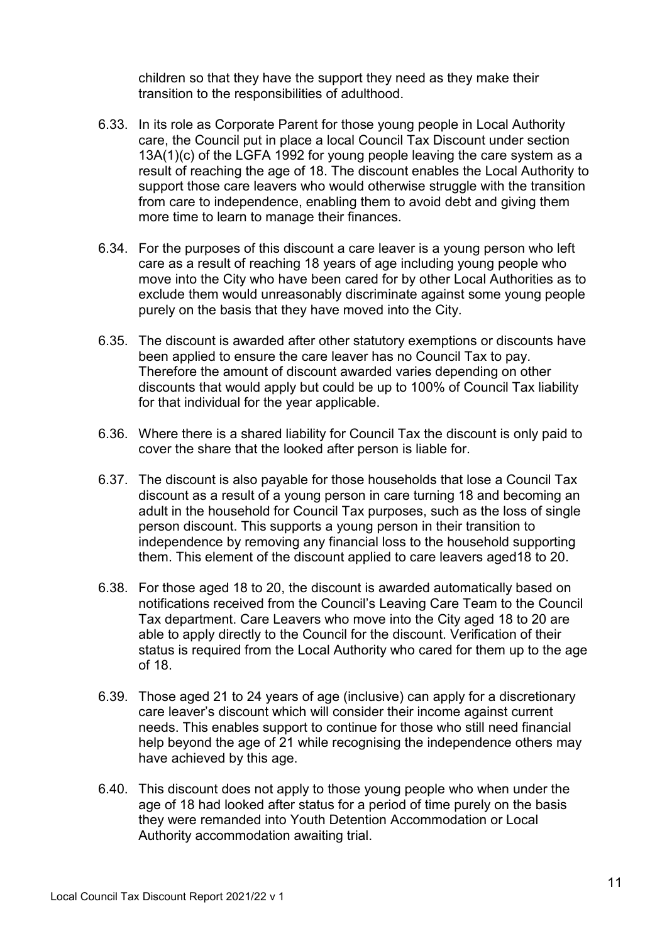children so that they have the support they need as they make their transition to the responsibilities of adulthood.

- 6.33. In its role as Corporate Parent for those young people in Local Authority care, the Council put in place a local Council Tax Discount under section 13A(1)(c) of the LGFA 1992 for young people leaving the care system as a result of reaching the age of 18. The discount enables the Local Authority to support those care leavers who would otherwise struggle with the transition from care to independence, enabling them to avoid debt and giving them more time to learn to manage their finances.
- 6.34. For the purposes of this discount a care leaver is a young person who left care as a result of reaching 18 years of age including young people who move into the City who have been cared for by other Local Authorities as to exclude them would unreasonably discriminate against some young people purely on the basis that they have moved into the City.
- 6.35. The discount is awarded after other statutory exemptions or discounts have been applied to ensure the care leaver has no Council Tax to pay. Therefore the amount of discount awarded varies depending on other discounts that would apply but could be up to 100% of Council Tax liability for that individual for the year applicable.
- 6.36. Where there is a shared liability for Council Tax the discount is only paid to cover the share that the looked after person is liable for.
- 6.37. The discount is also payable for those households that lose a Council Tax discount as a result of a young person in care turning 18 and becoming an adult in the household for Council Tax purposes, such as the loss of single person discount. This supports a young person in their transition to independence by removing any financial loss to the household supporting them. This element of the discount applied to care leavers aged18 to 20.
- 6.38. For those aged 18 to 20, the discount is awarded automatically based on notifications received from the Council's Leaving Care Team to the Council Tax department. Care Leavers who move into the City aged 18 to 20 are able to apply directly to the Council for the discount. Verification of their status is required from the Local Authority who cared for them up to the age of 18.
- 6.39. Those aged 21 to 24 years of age (inclusive) can apply for a discretionary care leaver's discount which will consider their income against current needs. This enables support to continue for those who still need financial help beyond the age of 21 while recognising the independence others may have achieved by this age.
- 6.40. This discount does not apply to those young people who when under the age of 18 had looked after status for a period of time purely on the basis they were remanded into Youth Detention Accommodation or Local Authority accommodation awaiting trial.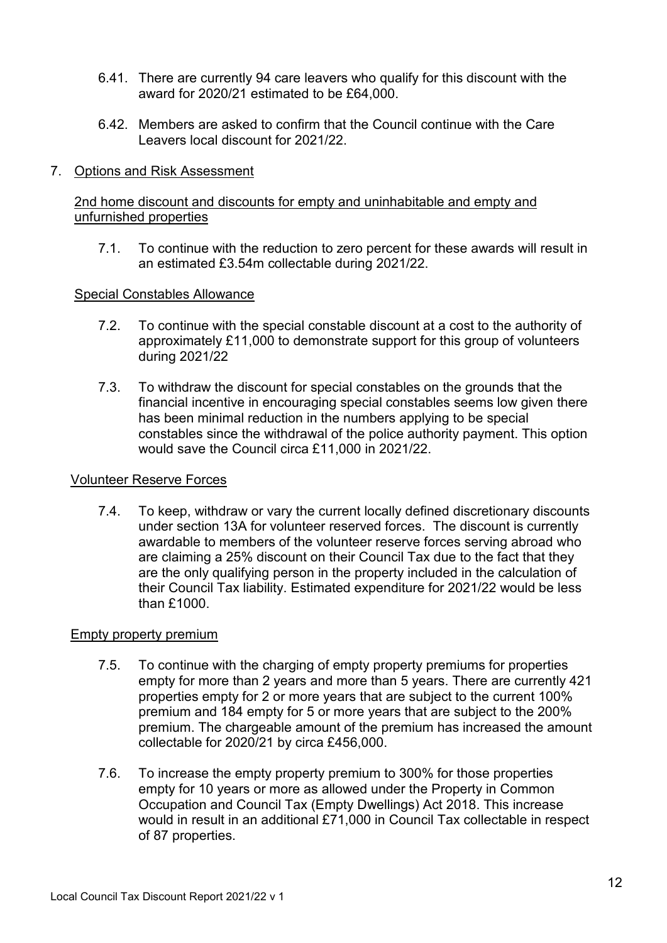- 6.41. There are currently 94 care leavers who qualify for this discount with the award for 2020/21 estimated to be £64,000.
- 6.42. Members are asked to confirm that the Council continue with the Care Leavers local discount for 2021/22.

### 7. Options and Risk Assessment

### 2nd home discount and discounts for empty and uninhabitable and empty and unfurnished properties

7.1. To continue with the reduction to zero percent for these awards will result in an estimated £3.54m collectable during 2021/22.

#### Special Constables Allowance

- 7.2. To continue with the special constable discount at a cost to the authority of approximately £11,000 to demonstrate support for this group of volunteers during 2021/22
- 7.3. To withdraw the discount for special constables on the grounds that the financial incentive in encouraging special constables seems low given there has been minimal reduction in the numbers applying to be special constables since the withdrawal of the police authority payment. This option would save the Council circa £11,000 in 2021/22.

#### Volunteer Reserve Forces

7.4. To keep, withdraw or vary the current locally defined discretionary discounts under section 13A for volunteer reserved forces. The discount is currently awardable to members of the volunteer reserve forces serving abroad who are claiming a 25% discount on their Council Tax due to the fact that they are the only qualifying person in the property included in the calculation of their Council Tax liability. Estimated expenditure for 2021/22 would be less than £1000.

#### Empty property premium

- 7.5. To continue with the charging of empty property premiums for properties empty for more than 2 years and more than 5 years. There are currently 421 properties empty for 2 or more years that are subject to the current 100% premium and 184 empty for 5 or more years that are subject to the 200% premium. The chargeable amount of the premium has increased the amount collectable for 2020/21 by circa £456,000.
- 7.6. To increase the empty property premium to 300% for those properties empty for 10 years or more as allowed under the Property in Common Occupation and Council Tax (Empty Dwellings) Act 2018. This increase would in result in an additional £71,000 in Council Tax collectable in respect of 87 properties.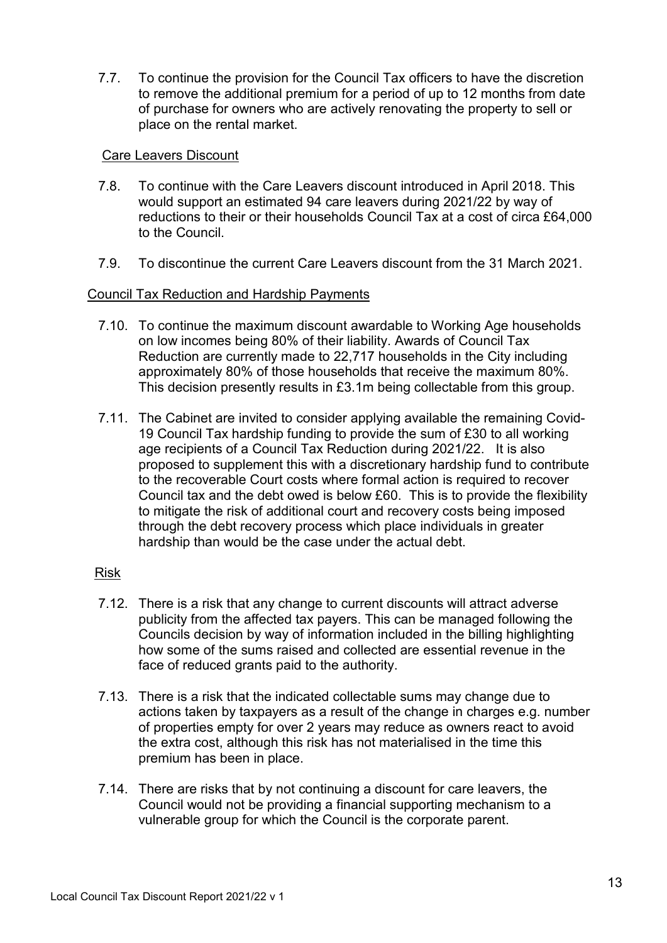7.7. To continue the provision for the Council Tax officers to have the discretion to remove the additional premium for a period of up to 12 months from date of purchase for owners who are actively renovating the property to sell or place on the rental market.

### Care Leavers Discount

- 7.8. To continue with the Care Leavers discount introduced in April 2018. This would support an estimated 94 care leavers during 2021/22 by way of reductions to their or their households Council Tax at a cost of circa £64,000 to the Council.
- 7.9. To discontinue the current Care Leavers discount from the 31 March 2021.

### Council Tax Reduction and Hardship Payments

- 7.10. To continue the maximum discount awardable to Working Age households on low incomes being 80% of their liability. Awards of Council Tax Reduction are currently made to 22,717 households in the City including approximately 80% of those households that receive the maximum 80%. This decision presently results in £3.1m being collectable from this group.
- 7.11. The Cabinet are invited to consider applying available the remaining Covid-19 Council Tax hardship funding to provide the sum of £30 to all working age recipients of a Council Tax Reduction during 2021/22. It is also proposed to supplement this with a discretionary hardship fund to contribute to the recoverable Court costs where formal action is required to recover Council tax and the debt owed is below £60. This is to provide the flexibility to mitigate the risk of additional court and recovery costs being imposed through the debt recovery process which place individuals in greater hardship than would be the case under the actual debt.

#### Risk

- 7.12. There is a risk that any change to current discounts will attract adverse publicity from the affected tax payers. This can be managed following the Councils decision by way of information included in the billing highlighting how some of the sums raised and collected are essential revenue in the face of reduced grants paid to the authority.
- 7.13. There is a risk that the indicated collectable sums may change due to actions taken by taxpayers as a result of the change in charges e.g. number of properties empty for over 2 years may reduce as owners react to avoid the extra cost, although this risk has not materialised in the time this premium has been in place.
- 7.14. There are risks that by not continuing a discount for care leavers, the Council would not be providing a financial supporting mechanism to a vulnerable group for which the Council is the corporate parent.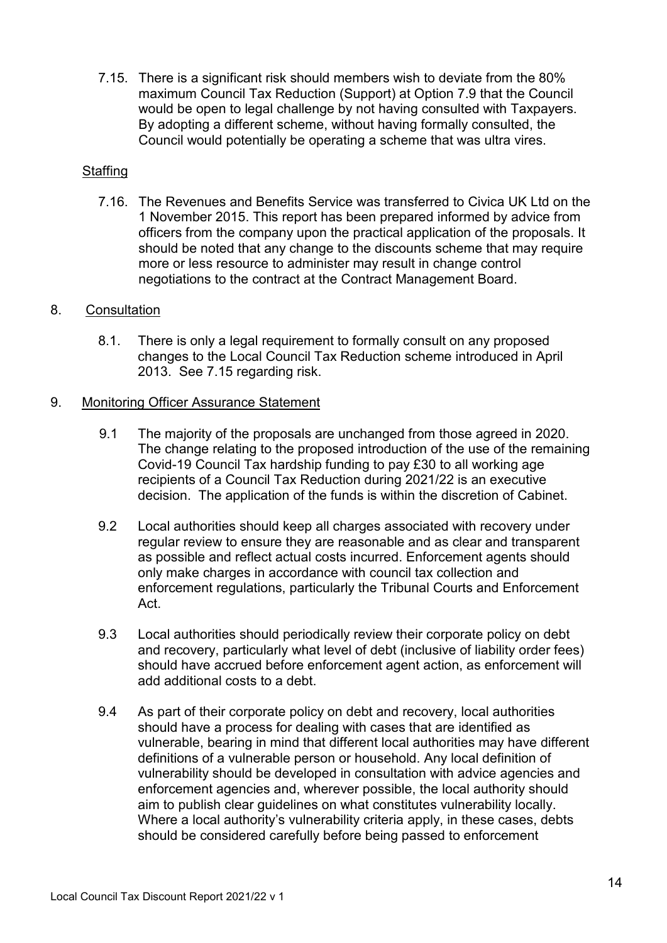7.15. There is a significant risk should members wish to deviate from the 80% maximum Council Tax Reduction (Support) at Option 7.9 that the Council would be open to legal challenge by not having consulted with Taxpayers. By adopting a different scheme, without having formally consulted, the Council would potentially be operating a scheme that was ultra vires.

## **Staffing**

7.16. The Revenues and Benefits Service was transferred to Civica UK Ltd on the 1 November 2015. This report has been prepared informed by advice from officers from the company upon the practical application of the proposals. It should be noted that any change to the discounts scheme that may require more or less resource to administer may result in change control negotiations to the contract at the Contract Management Board.

## 8. Consultation

8.1. There is only a legal requirement to formally consult on any proposed changes to the Local Council Tax Reduction scheme introduced in April 2013. See 7.15 regarding risk.

## 9. Monitoring Officer Assurance Statement

- 9.1 The majority of the proposals are unchanged from those agreed in 2020. The change relating to the proposed introduction of the use of the remaining Covid-19 Council Tax hardship funding to pay £30 to all working age recipients of a Council Tax Reduction during 2021/22 is an executive decision. The application of the funds is within the discretion of Cabinet.
- 9.2 Local authorities should keep all charges associated with recovery under regular review to ensure they are reasonable and as clear and transparent as possible and reflect actual costs incurred. Enforcement agents should only make charges in accordance with council tax collection and enforcement regulations, particularly the Tribunal Courts and Enforcement Act.
- 9.3 Local authorities should periodically review their corporate policy on debt and recovery, particularly what level of debt (inclusive of liability order fees) should have accrued before enforcement agent action, as enforcement will add additional costs to a debt.
- 9.4 As part of their corporate policy on debt and recovery, local authorities should have a process for dealing with cases that are identified as vulnerable, bearing in mind that different local authorities may have different definitions of a vulnerable person or household. Any local definition of vulnerability should be developed in consultation with advice agencies and enforcement agencies and, wherever possible, the local authority should aim to publish clear guidelines on what constitutes vulnerability locally. Where a local authority's vulnerability criteria apply, in these cases, debts should be considered carefully before being passed to enforcement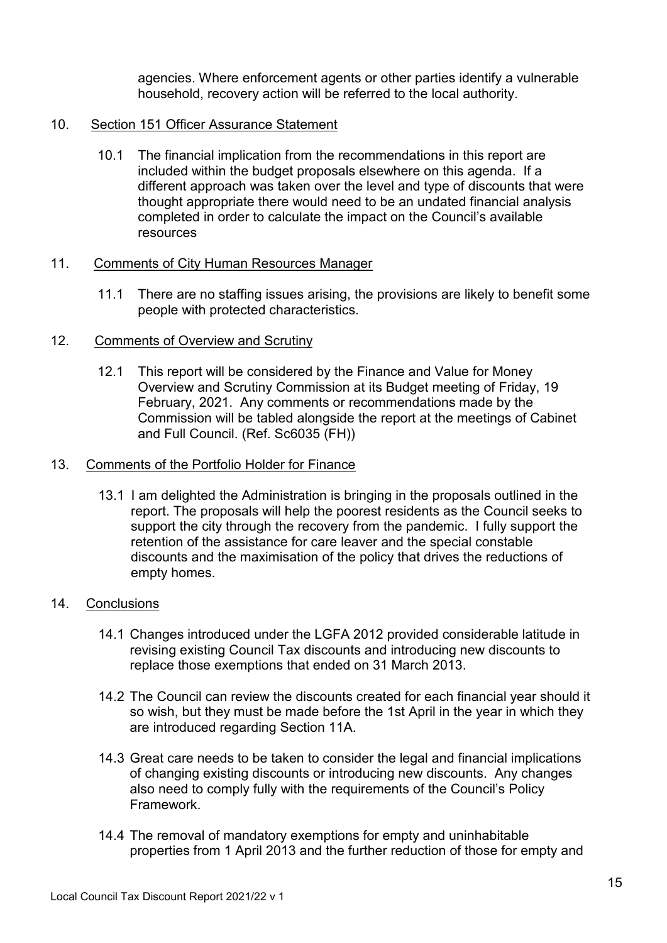agencies. Where enforcement agents or other parties identify a vulnerable household, recovery action will be referred to the local authority.

## 10. Section 151 Officer Assurance Statement

10.1 The financial implication from the recommendations in this report are included within the budget proposals elsewhere on this agenda. If a different approach was taken over the level and type of discounts that were thought appropriate there would need to be an undated financial analysis completed in order to calculate the impact on the Council's available resources

## 11. Comments of City Human Resources Manager

11.1 There are no staffing issues arising, the provisions are likely to benefit some people with protected characteristics.

## 12. Comments of Overview and Scrutiny

12.1 This report will be considered by the Finance and Value for Money Overview and Scrutiny Commission at its Budget meeting of Friday, 19 February, 2021. Any comments or recommendations made by the Commission will be tabled alongside the report at the meetings of Cabinet and Full Council. (Ref. Sc6035 (FH))

#### 13. Comments of the Portfolio Holder for Finance

13.1 I am delighted the Administration is bringing in the proposals outlined in the report. The proposals will help the poorest residents as the Council seeks to support the city through the recovery from the pandemic. I fully support the retention of the assistance for care leaver and the special constable discounts and the maximisation of the policy that drives the reductions of empty homes.

## 14. Conclusions

- 14.1 Changes introduced under the LGFA 2012 provided considerable latitude in revising existing Council Tax discounts and introducing new discounts to replace those exemptions that ended on 31 March 2013.
- 14.2 The Council can review the discounts created for each financial year should it so wish, but they must be made before the 1st April in the year in which they are introduced regarding Section 11A.
- 14.3 Great care needs to be taken to consider the legal and financial implications of changing existing discounts or introducing new discounts. Any changes also need to comply fully with the requirements of the Council's Policy Framework.
- 14.4 The removal of mandatory exemptions for empty and uninhabitable properties from 1 April 2013 and the further reduction of those for empty and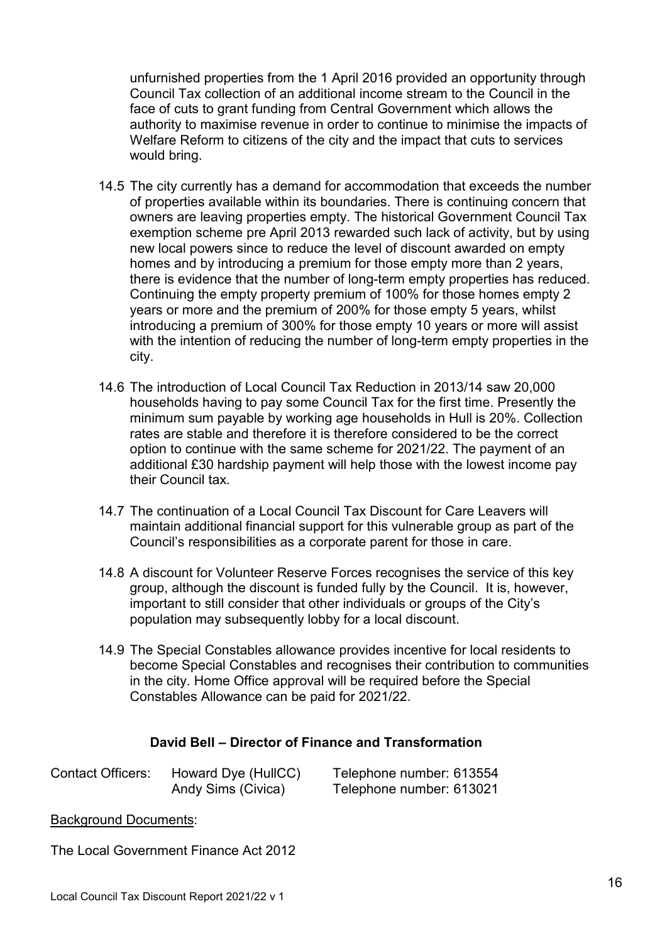unfurnished properties from the 1 April 2016 provided an opportunity through Council Tax collection of an additional income stream to the Council in the face of cuts to grant funding from Central Government which allows the authority to maximise revenue in order to continue to minimise the impacts of Welfare Reform to citizens of the city and the impact that cuts to services would bring.

- 14.5 The city currently has a demand for accommodation that exceeds the number of properties available within its boundaries. There is continuing concern that owners are leaving properties empty. The historical Government Council Tax exemption scheme pre April 2013 rewarded such lack of activity, but by using new local powers since to reduce the level of discount awarded on empty homes and by introducing a premium for those empty more than 2 years, there is evidence that the number of long-term empty properties has reduced. Continuing the empty property premium of 100% for those homes empty 2 years or more and the premium of 200% for those empty 5 years, whilst introducing a premium of 300% for those empty 10 years or more will assist with the intention of reducing the number of long-term empty properties in the city.
- 14.6 The introduction of Local Council Tax Reduction in 2013/14 saw 20,000 households having to pay some Council Tax for the first time. Presently the minimum sum payable by working age households in Hull is 20%. Collection rates are stable and therefore it is therefore considered to be the correct option to continue with the same scheme for 2021/22. The payment of an additional £30 hardship payment will help those with the lowest income pay their Council tax.
- 14.7 The continuation of a Local Council Tax Discount for Care Leavers will maintain additional financial support for this vulnerable group as part of the Council's responsibilities as a corporate parent for those in care.
- 14.8 A discount for Volunteer Reserve Forces recognises the service of this key group, although the discount is funded fully by the Council. It is, however, important to still consider that other individuals or groups of the City's population may subsequently lobby for a local discount.
- 14.9 The Special Constables allowance provides incentive for local residents to become Special Constables and recognises their contribution to communities in the city. Home Office approval will be required before the Special Constables Allowance can be paid for 2021/22.

## **David Bell – Director of Finance and Transformation**

| <b>Contact Officers:</b> | Howard Dye (HullCC) | Telephone number: 613554 |
|--------------------------|---------------------|--------------------------|
|                          | Andy Sims (Civica)  | Telephone number: 613021 |

## Background Documents:

The Local Government Finance Act 2012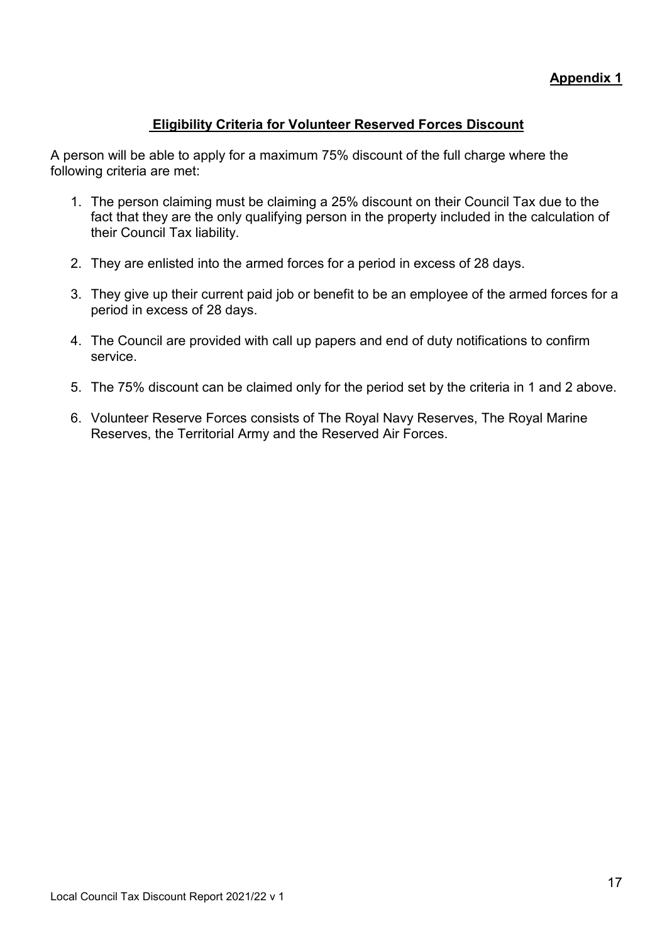# **Eligibility Criteria for Volunteer Reserved Forces Discount**

A person will be able to apply for a maximum 75% discount of the full charge where the following criteria are met:

- 1. The person claiming must be claiming a 25% discount on their Council Tax due to the fact that they are the only qualifying person in the property included in the calculation of their Council Tax liability.
- 2. They are enlisted into the armed forces for a period in excess of 28 days.
- 3. They give up their current paid job or benefit to be an employee of the armed forces for a period in excess of 28 days.
- 4. The Council are provided with call up papers and end of duty notifications to confirm service.
- 5. The 75% discount can be claimed only for the period set by the criteria in 1 and 2 above.
- 6. Volunteer Reserve Forces consists of The Royal Navy Reserves, The Royal Marine Reserves, the Territorial Army and the Reserved Air Forces.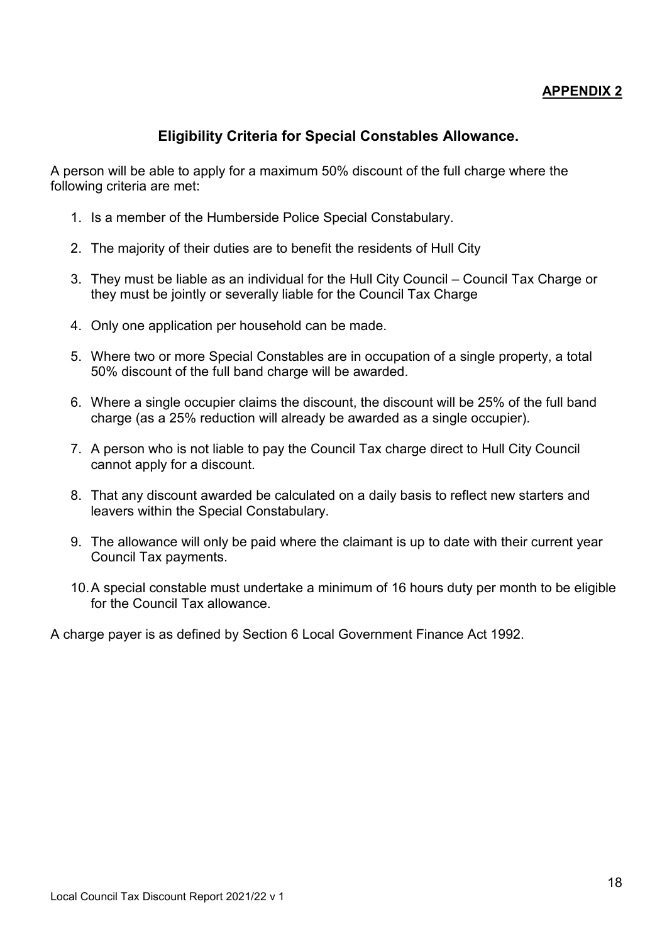# **APPENDIX 2**

# **Eligibility Criteria for Special Constables Allowance.**

A person will be able to apply for a maximum 50% discount of the full charge where the following criteria are met:

- 1. Is a member of the Humberside Police Special Constabulary.
- 2. The majority of their duties are to benefit the residents of Hull City
- 3. They must be liable as an individual for the Hull City Council Council Tax Charge or they must be jointly or severally liable for the Council Tax Charge
- 4. Only one application per household can be made.
- 5. Where two or more Special Constables are in occupation of a single property, a total 50% discount of the full band charge will be awarded.
- 6. Where a single occupier claims the discount, the discount will be 25% of the full band charge (as a 25% reduction will already be awarded as a single occupier).
- 7. A person who is not liable to pay the Council Tax charge direct to Hull City Council cannot apply for a discount.
- 8. That any discount awarded be calculated on a daily basis to reflect new starters and leavers within the Special Constabulary.
- 9. The allowance will only be paid where the claimant is up to date with their current year Council Tax payments.
- 10. A special constable must undertake a minimum of 16 hours duty per month to be eligible for the Council Tax allowance.

A charge payer is as defined by Section 6 Local Government Finance Act 1992.